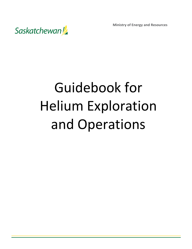

# Guidebook for Helium Exploration and Operations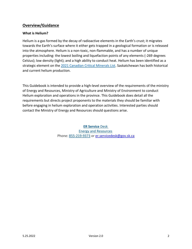# **Overview/Guidance**

## **What is Helium?**

Helium is a gas formed by the decay of radioactive elements in the Earth's crust; it migrates towards the Earth's surface where it either gets trapped in a geological formation or is released into the atmosphere. Helium is a non-toxic, non-flammable, and has a number of unique properties including: the lowest boiling and liquefaction points of any elements (-269 degrees Celsius); low density (light); and a high ability to conduct heat. Helium has been identified as a strategic element on the [2021 Canadian Critical Minerals List.](https://www.nrcan.gc.ca/sites/nrcan/files/mineralsmetals/pdf/Critical_Minerals_List_2021-EN.pdf) Saskatchewan has both historical and current helium production.

This Guidebook is intended to provide a high-level overview of the requirements of the ministry of Energy and Resources, Ministry of Agriculture and Ministry of Environment to conduct Helium exploration and operations in the province. This Guidebook does detail all the requirements but directs project proponents to the materials they should be familiar with before engaging in helium exploration and operation activities. Interested parties should contact the Ministry of Energy and Resources should questions arise.

> **[ER Service](https://www.saskatchewan.ca/government/directory?p=1c682500-ff26-4a2e-9bd6-6277fd94f4f7)** Desk [Energy and Resources](https://www.saskatchewan.ca/government/directory?ou=2bf56f22-48b1-4694-8e19-3776aa240850) Phone: [855-219-9373](tel:8552199373) or [er.servicedesk@gov.sk.ca](mailto:er.servicedesk@gov.sk.ca)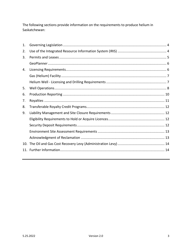The following sections provide information on the requirements to produce helium in Saskatchewan: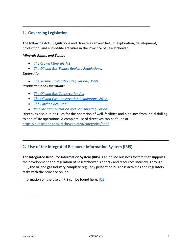# <span id="page-3-0"></span>**1. Governing Legislation**

The following Acts, Regulations and Directives govern helium exploration, development, production, and end-of-life activities in the Province of Saskatchewan.

\_\_\_\_\_\_\_\_\_\_\_\_\_\_\_\_\_\_\_\_\_\_\_\_\_\_\_\_\_\_\_\_\_\_\_\_\_\_\_\_\_\_\_\_\_\_\_\_\_\_\_\_\_\_\_\_\_\_\_\_\_\_\_\_\_\_\_\_

## *Minerals Rights and Tenure*

- *[The Crown Minerals Act](https://publications.saskatchewan.ca/api/v1/products/453/formats/547/download)*
- *[The Oil and Gas Tenure Registry Regulations](https://publications.saskatchewan.ca/api/v1/products/83195/formats/95707/download)*.

## *Exploration*

• *[The Seismic Exploration Regulations, 1999](https://pubsaskdev.blob.core.windows.net/pubsask-prod/2157/M16-1R2.PDF)*

## *Production and Operations*

- *[The Oil and Gas Conservation Act](https://pubsaskdev.blob.core.windows.net/pubsask-prod/1128/O2.pdf)*
- *[The Oil and Gas Conservation Regulations, 2012](https://pubsaskdev.blob.core.windows.net/pubsask-prod/70932/O2R6.pdf)*
- *[The Pipeline Act, 1998](https://pubsaskdev.blob.core.windows.net/pubsask-prod/1146/P12-1.pdf)*
- *[Pipeline administration and licensing Regulations](https://pubsaskdev.blob.core.windows.net/pubsask-prod/115692/P12-1r2.pdf)*

Directives also outline rules for the operation of well, facilities and pipelines from initial drilling to end of life operations. A complete list of directives can be found at: [https://publications.saskatchewan.ca/#/categories/5568](https://publications.saskatchewan.ca/%23/categories/5568)

\_\_\_\_\_\_\_\_\_\_\_\_\_\_\_\_\_\_\_\_\_\_\_\_\_\_\_\_\_\_\_\_\_\_\_\_\_\_\_\_\_\_\_\_\_\_\_\_\_\_\_\_\_\_\_\_\_\_\_\_\_\_\_\_\_\_\_\_\_\_\_\_\_\_\_\_\_\_

## <span id="page-3-1"></span>**2. Use of the Integrated Resource Information System (IRIS)**

The Integrated Resource Information System (IRIS) is an online business system that supports the development and regulation of Saskatchewan's energy and resources industry. Through IRIS, the oil and gas industry complete regularly performed business activities and regulatory tasks with the province online.

Information on the use of IRIS can be found here: [IRIS](https://www.saskatchewan.ca/business/agriculture-natural-resources-and-industry/oil-and-gas/oil-and-gas-licensing-operations-and-requirements/integrated-resource-information-system-iris#prerequisites) 

\_\_\_\_\_\_\_\_\_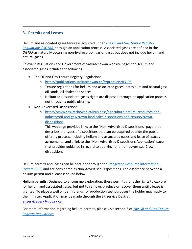## <span id="page-4-0"></span>**3. Permits and Leases**

Helium and associated gases tenure is acquired under *[The Oil and Gas Tenure Registry](https://pubsaskdev.blob.core.windows.net/pubsask-prod/95707/C50-2R31.pdf)  [Regulations \(OGTRR\)](https://pubsaskdev.blob.core.windows.net/pubsask-prod/95707/C50-2R31.pdf)* through an application process. Associated gases are defined in the *OGTRR* as naturally occurring non-hydrocarbon gas or gases but does not include helium and natural gases.

Relevant Regulations and Government of Saskatchewan website pages for Helium and associated gases includes the following:

\_\_\_\_\_\_\_\_\_\_\_\_\_\_\_\_\_\_\_\_\_\_\_\_\_\_\_\_\_\_\_\_\_\_\_\_\_\_\_\_\_\_\_\_\_\_\_\_\_\_\_\_\_\_\_\_\_\_\_\_\_\_\_\_\_\_\_\_

- The Oil and Gas Tenure Registry Regulations
	- o <https://publications.saskatchewan.ca/#/products/83195>
	- $\circ$  Tenure regulations for helium and associated gases; petroleum and natural gas; oil sands; oil shale; and spaces.
	- o Helium and associated gases rights are disposed through an application process, not through a public offering.
- Non-Advertised Dispositions
	- o [https://www.saskatchewan.ca/business/agriculture-natural-resources-and](https://www.saskatchewan.ca/business/agriculture-natural-resources-and-industry/oil-and-gas/crown-land-sales-dispositions-and-tenure/crown-dispositions)[industry/oil-and-gas/crown-land-sales-dispositions-and-tenure/crown](https://www.saskatchewan.ca/business/agriculture-natural-resources-and-industry/oil-and-gas/crown-land-sales-dispositions-and-tenure/crown-dispositions)[dispositions](https://www.saskatchewan.ca/business/agriculture-natural-resources-and-industry/oil-and-gas/crown-land-sales-dispositions-and-tenure/crown-dispositions)
	- $\circ$  This webpage provides links to the "Non-Advertised Dispositions" page that describes the types of dispositions that can be acquired outside the public offering process, including helium and associated gases and lease of spaces agreements, and a link to the "Non-Advertised Dispositions Application" page that provides guidance in regard to applying for a non-advertised Crown disposition.

Helium permits and leases can be obtained through the Integrated Resource Information [System \(IRIS\)](https://iris.gov.sk.ca/Portal/Security/Credentials/Login.aspx) and are considered as Non-Advertised Dispositions. The difference between a helium permit and a lease is found below:

**Helium permits:** Designed to encourage exploration, these permits grant the rights to explore for helium and associated gases, but not to remove, produce or recover them until a lease is granted. To place a well on permit lands for production test purposes the holder may apply to the minister. Application may be made through the ER Service Desk at [er.servicedesk@gov.sk.ca.](mailto:er.servicedesk@gov.sk.ca.)

For more information regarding helium permits, please visit section 6 of *[The Oil and Gas Tenure](https://pubsaskdev.blob.core.windows.net/pubsask-prod/95707/C50-2R31.pdf)  [Registry Regulations.](https://pubsaskdev.blob.core.windows.net/pubsask-prod/95707/C50-2R31.pdf)*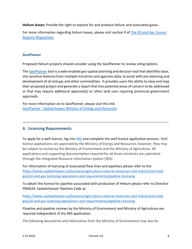**Helium leases:** Provide the right to explore for and produce helium and associated gases.

For more information regarding helium leases, please visit section 9 of *[The Oil and Gas Tenure](https://pubsaskdev.blob.core.windows.net/pubsask-prod/95707/C50-2R31.pdf)  [Registry Regulations](https://pubsaskdev.blob.core.windows.net/pubsask-prod/95707/C50-2R31.pdf)*

#### <span id="page-5-0"></span>**GeoPlanner**

Proposed Helium projects should consider using the GeoPlanner to review siting options.

The [GeoPlanner](https://gisappl.saskatchewan.ca/Html5Ext/Index.html?viewer=GeoPlanner) tool is a web-enabled geo-spatial planning and decision tool that identifies base, site sensitive features from multiple ministries and agencies data, to assist with pre-planning and development of oil and gas and other commodities . It provides users the ability to view and map their proposed project and generate a report that lists potential areas of concern to be addressed or that may require additional approval(s) or other land uses requiring provincial government approvals.

For more information on to GeoPlanner, please visit this link: GeoPlanner - [Saskatchewan Ministry of Energy and Resources](https://gisappl.saskatchewan.ca/Html5Ext/Index.html?viewer=GeoPlanner)

## <span id="page-5-1"></span>**4. Licensing Requirements**

To apply for a well licence, log into [IRIS](https://iris.gov.sk.ca/Portal/Security/Credentials/Login.aspx) and complete the well licence application process. Well licence applications are approved by the Ministry of Energy and Resources; however, they may be subject to review by the Ministry of Environment and the Ministry of Agriculture. All applications and supporting documentation required for all three ministries are submitted through the Integrated Resource Information System (IRIS).

\_\_\_\_\_\_\_\_\_\_\_\_\_\_\_\_\_\_\_\_\_\_\_\_\_\_\_\_\_\_\_\_\_\_\_\_\_\_\_\_\_\_\_\_\_\_\_\_\_\_\_\_\_\_\_\_\_\_\_\_\_\_\_\_\_\_\_\_\_\_\_\_\_\_\_\_\_\_

For information of licensing of associated flow lines and pipelines please refer to the: [https://www.saskatchewan.ca/business/agriculture-natural-resources-and-industry/oil-and](https://www.saskatchewan.ca/business/agriculture-natural-resources-and-industry/oil-and-gas/oil-and-gas-licensing-operations-and-requirements/pipeline-licensing)[gas/oil-and-gas-licensing-operations-and-requirements/pipeline-licensing](https://www.saskatchewan.ca/business/agriculture-natural-resources-and-industry/oil-and-gas/oil-and-gas-licensing-operations-and-requirements/pipeline-licensing)

To obtain the license for pipeline associated with production of Helium please refer to *Directive PNG034: Saskatchewan Pipelines Code* at:

[https://www.saskatchewan.ca/business/agriculture-natural-resources-and-industry/oil-and](https://www.saskatchewan.ca/business/agriculture-natural-resources-and-industry/oil-and-gas/oil-and-gas-licensing-operations-and-requirements/pipeline-licensing)[gas/oil-and-gas-licensing-operations-and-requirements/pipeline-licensing](https://www.saskatchewan.ca/business/agriculture-natural-resources-and-industry/oil-and-gas/oil-and-gas-licensing-operations-and-requirements/pipeline-licensing)

Flowline and pipeline reviews by the Ministry of Environment and Ministry of Agriculture are required independent of the IRIS application.

The following documents and information from the Ministry of Environment may also be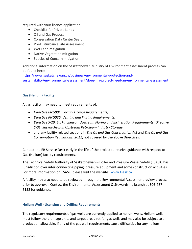required with your licence application:

- Checklist for Private Lands
- Oil and Gas Proposal
- Conservation Data Center Search
- Pre-Disturbance Site Assessment
- Wet Land mitigation
- Native Vegetation mitigation
- Species of Concern mitigation

Additional information on the Saskatchewan Ministry of Environment assessment process can be found here:

[https://www.saskatchewan.ca/business/environmental-protection-and](https://www.saskatchewan.ca/business/environmental-protection-and-sustainability/environmental-assessment/does-my-project-need-an-environmental-assessment)[sustainability/environmental-assessment/does-my-project-need-an-environmental-assessment](https://www.saskatchewan.ca/business/environmental-protection-and-sustainability/environmental-assessment/does-my-project-need-an-environmental-assessment)

## <span id="page-6-0"></span>**Gas (Helium) Facility**

A gas facility may need to meet requirements of:

- *Directive PNG001: [Facility Licence Requirements;](file:///C:/Users/molujide/Downloads/Directive%252BPNG001-Facility%252BLicence%252BRequirements%252Bv.1.1.pdf)*
- *Directive PNG036: [Venting and Flaring Requirements;](file:///C:/Users/molujide/Downloads/Directive_PNG036-Venting_and_Flaring_Requirements-v.2.pdf)*
- *Directive S-20: [Saskatchewan Upstream Flaring and Incineration Requirements;](file:///C:/Users/molujide/Downloads/Directive_S-20-Saskatchewan_Upstream_Flaring_and_Incineration_Requirements-v.1.1.pdf) [Directive](file:///C:/Users/molujide/Downloads/Directive%252BS-01%252BSaskatchewan%252BUpstream%252BPetroleum%252BIndustry%252BStorage%252BStandards%252Bv.%252B2.1.pdf)  S-01: [Saskatchewan Upstream Petroleum Industry Storage;](file:///C:/Users/molujide/Downloads/Directive%252BS-01%252BSaskatchewan%252BUpstream%252BPetroleum%252BIndustry%252BStorage%252BStandards%252Bv.%252B2.1.pdf)*
- and any facility related sections in *[The Oil and Gas Conservation Act](https://pubsaskdev.blob.core.windows.net/pubsask-prod/1128/O2.pdf)* and *[The Oil and Gas](https://pubsaskdev.blob.core.windows.net/pubsask-prod/70932/O2R6.pdf)  [Conservation Regulations, 2012](https://pubsaskdev.blob.core.windows.net/pubsask-prod/70932/O2R6.pdf)*, not covered by the above Directives.

Contact the ER Service Desk early in the life of the project to receive guidance with respect to Gas (Helium) facility requirements.

The Technical Safety Authority of Saskatchewan – Boiler and Pressure Vessel Safety (TSASK) has jurisdiction over inter-connecting piping, pressure equipment and some construction activities. For more information on TSASK, please visit the website: [www.tsask.ca](file:///C:/Users/tschmid2/Local%20Settings/Temporary%20Internet%20Files/Content.Outlook/61555GFO/www.tsask.ca)

A facility may also need to be reviewed through the Environmental Assessment review process prior to approval. Contact the Environmental Assessment & Stewardship branch at 306-787- 6132 for guidance.

#### <span id="page-6-1"></span>**Helium Well - Licensing and Drilling Requirements**

The regulatory requirements of gas wells are currently applied to helium wells. Helium wells must follow the drainage units and target areas set for gas wells and may also be subject to a production allowable. If any of the gas well requirements cause difficulties for any helium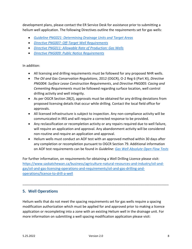development plans, please contact the ER Service Desk for assistance prior to submitting a helium well application. The following Directives outline the requirements set for gas wells:

- *[Guideline PNG021: Determining Drainage Units and Target Areas](https://pubsaskdev.blob.core.windows.net/pubsask-prod/85288/85288-Guideline_PNG021-Determining_Drainage_Units_and_Target_Areas_March21,2017.pdf)*
- *[Directive PNG007: Off-Target Well Requirements](https://www.saskatchewan.ca/business/agriculture-natural-resources-and-industry/oil-and-gas/oil-and-gas-licensing-operations-and-requirements/oil-and-gas-drilling-and-operations/off-target-wells)*
- *[Directive PNG011: Allowable Rate of Production: Gas Wells](https://www.saskatchewan.ca/business/agriculture-natural-resources-and-industry/oil-and-gas/oil-and-gas-licensing-operations-and-requirements/oil-and-gas-drilling-and-operations/oil-and-gas-production/apply-for-an-allowable-rate-of-production-for-oil-wells)*
- *[Directive PNG009: Public Notice Requirements](https://pubsaskdev.blob.core.windows.net/pubsask-prod/85294/Directive%252BPNG009-Public%252BNotice%252BRequirements%252Bv.2.pdf)*

## In addition:

- All licensing and drilling requirements must be followed for any proposed NHR wells.
- *The Oil and Gas Conservation Regulations*, 2012 (OGCR), O-2 Reg 6 (Part XI), *Directive PNG004: Surface Lease Construction Requirements*, and *Directive PNG005: Casing and Cementing Requirements* must be followed regarding surface location, well control drilling activity and well integrity.
- As per OGCR Section 28(2), approvals must be obtained for any drilling deviations from proposed licensing details that occur while drilling. Contact the local field office for approvals.
- All licensed infrastructure is subject to inspection. Any non-compliance activity will be communicated in IRIS and will require a corrected response to be provided.
- Any reclassification or recompletion activity or any repairs required due to well failure, will require an application and approval. Any abandonment activity will be considered non-routine and require an application and approval.
- Helium wells must conduct an AOF test with an approved method within 30 days after any completion or recompletion pursuant to OGCR Section 79. Additional information on AOF test requirements can be found in *Guideline: [Gas Well Absolute Open Flow Tests](https://publications.saskatchewan.ca/#/products/75599)*

For further information, on requirements for obtaining a Well Drilling Licence please visit: [https://www.saskatchewan.ca/business/agriculture-natural-resources-and-industry/oil-and](https://www.saskatchewan.ca/business/agriculture-natural-resources-and-industry/oil-and-gas/oil-and-gas-licensing-operations-and-requirements/oil-and-gas-drilling-and-operations/licence-to-drill-a-well)[gas/oil-and-gas-licensing-operations-and-requirements/oil-and-gas-drilling-and](https://www.saskatchewan.ca/business/agriculture-natural-resources-and-industry/oil-and-gas/oil-and-gas-licensing-operations-and-requirements/oil-and-gas-drilling-and-operations/licence-to-drill-a-well)[operations/licence-to-drill-a-well](https://www.saskatchewan.ca/business/agriculture-natural-resources-and-industry/oil-and-gas/oil-and-gas-licensing-operations-and-requirements/oil-and-gas-drilling-and-operations/licence-to-drill-a-well)

\_\_\_\_\_\_\_\_\_\_\_\_\_\_\_\_\_\_\_\_\_\_\_\_\_\_\_\_\_\_\_\_\_\_\_\_\_\_\_\_\_\_\_\_\_\_\_\_\_\_\_\_\_\_\_\_\_\_\_\_\_\_\_\_\_\_\_\_\_\_\_\_\_\_\_\_\_\_

# <span id="page-7-0"></span>**5. Well Operations**

Helium wells that do not meet the spacing requirements set for gas wells require a spacing modification authorization which must be applied for and approved prior to making a licence application or recompleting into a zone with an existing Helium well in the drainage unit. For more information on submitting a well spacing modification application please visit: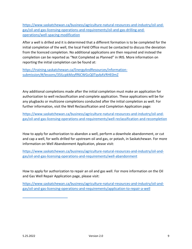[https://www.saskatchewan.ca/business/agriculture-natural-resources-and-industry/oil-and](https://www.saskatchewan.ca/business/agriculture-natural-resources-and-industry/oil-and-gas/oil-and-gas-licensing-operations-and-requirements/oil-and-gas-drilling-and-operations/well-spacing-modification)[gas/oil-and-gas-licensing-operations-and-requirements/oil-and-gas-drilling-and](https://www.saskatchewan.ca/business/agriculture-natural-resources-and-industry/oil-and-gas/oil-and-gas-licensing-operations-and-requirements/oil-and-gas-drilling-and-operations/well-spacing-modification)[operations/well-spacing-modification](https://www.saskatchewan.ca/business/agriculture-natural-resources-and-industry/oil-and-gas/oil-and-gas-licensing-operations-and-requirements/oil-and-gas-drilling-and-operations/well-spacing-modification)

After a well is drilled and it is determined that a different formation is to be completed for the initial completion of the well, the local Field Office must be contacted to discuss the deviation from the licenced completion. No additional applications are then required and instead the completion can be reported as "Not Completed as Planned" in IRIS. More information on reporting the initial completion can be found at:

[https://training.saskatchewan.ca/EnergyAndResources/information](https://training.saskatchewan.ca/EnergyAndResources/information-submission/#/lessons/35ILcpkMzyflf6CWGcQ0TqvbAVRHE0mZ)[submission/#/lessons/35ILcpkMzyflf6CWGcQ0TqvbAVRHE0mZ](https://training.saskatchewan.ca/EnergyAndResources/information-submission/#/lessons/35ILcpkMzyflf6CWGcQ0TqvbAVRHE0mZ)

Any additional completions made after the initial completion must make an application for authorization to well reclassification and complete application. These applications will be for any plugbacks or multizone completions conducted after the initial completion as well. For further information, visit the Well Reclassification and Completion Application page:

[https://www.saskatchewan.ca/business/agriculture-natural-resources-and-industry/oil-and](https://www.saskatchewan.ca/business/agriculture-natural-resources-and-industry/oil-and-gas/oil-and-gas-licensing-operations-and-requirements/well-reclassification-and-recompletion)[gas/oil-and-gas-licensing-operations-and-requirements/well-reclassification-and-recompletion](https://www.saskatchewan.ca/business/agriculture-natural-resources-and-industry/oil-and-gas/oil-and-gas-licensing-operations-and-requirements/well-reclassification-and-recompletion)

How to apply for authorization to abandon a well, perform a downhole abandonment, or cut and cap a well, for wells drilled for upstream oil and gas, or potash, in Saskatchewan. For more information on Well Abandonment Application, please visit:

[https://www.saskatchewan.ca/business/agriculture-natural-resources-and-industry/oil-and](https://www.saskatchewan.ca/business/agriculture-natural-resources-and-industry/oil-and-gas/oil-and-gas-licensing-operations-and-requirements/well-abandonment)[gas/oil-and-gas-licensing-operations-and-requirements/well-abandonment](https://www.saskatchewan.ca/business/agriculture-natural-resources-and-industry/oil-and-gas/oil-and-gas-licensing-operations-and-requirements/well-abandonment)

How to apply for authorization to repair an oil and gas well. For more information on the Oil and Gas Well Repair Application page, please visit:

[https://www.saskatchewan.ca/business/agriculture-natural-resources-and-industry/oil-and](https://www.saskatchewan.ca/business/agriculture-natural-resources-and-industry/oil-and-gas/oil-and-gas-licensing-operations-and-requirements/application-to-repair-a-well)[gas/oil-and-gas-licensing-operations-and-requirements/application-to-repair-a-well](https://www.saskatchewan.ca/business/agriculture-natural-resources-and-industry/oil-and-gas/oil-and-gas-licensing-operations-and-requirements/application-to-repair-a-well)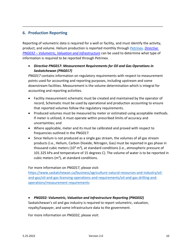# <span id="page-9-0"></span>**6. Production Reporting**

Reporting of volumetric data is required for a well or facility, and must identify the activity, product, and volume. Helium production is reported monthly through [Petrinex.](https://www.petrinex.ca/) *[Directive](https://publications.saskatchewan.ca/api/v1/products/87355/formats/103982/download)  PNG032 – [Volumetric, Valuation and Infrastructure](https://publications.saskatchewan.ca/api/v1/products/87355/formats/103982/download)* can be used to determine what type of information is required to be reported through Petrinex.

\_\_\_\_\_\_\_\_\_\_\_\_\_\_\_\_\_\_\_\_\_\_\_\_\_\_\_\_\_\_\_\_\_\_\_\_\_\_\_\_\_\_\_\_\_\_\_\_\_\_\_\_\_\_\_\_\_\_\_\_\_\_\_\_\_\_\_\_\_\_\_\_\_\_\_

## • *Directive PNG017: Measurement Requirements for Oil and Gas Operations in Saskatchewan (PNG017)*

*PNG017* contains information on regulatory requirements with respect to measurement points used for accounting and reporting purposes, including upstream and some downstream facilities. Measurement is the volume determination which is integral for accounting and reporting activities.

- Facility measurement schematic must be created and maintained by the operator of record, Schematic must be used by operational and production accounting to ensure that reported volumes follow the regulatory requirements.
- Produced volumes must be measured by meter or estimated using acceptable methods. If meter is utilized, it must operate within prescribed limits of accuracy and uncertainties; and
- Where applicable, meter and its must be calibrated and proved with respect to frequencies outlined in the *PNG017*.
- Since Helium is not produced as a single gas stream, the volumes of all gas stream products (i.e., Helium, Carbon Dioxide, Nitrogen, Gas) must be reported in gas phase in thousand cubic meters (10<sup>3</sup> m<sup>3</sup>), at standard conditions (i.e., atmospheric pressure of 101.325 kPa and temperature of 15 degrees C). The volume of water is to be reported in cubic meters ( $m<sup>3</sup>$ ), at standard conditions.

For more information on *PNG017*, please visit:

[https://www.saskatchewan.ca/business/agriculture-natural-resources-and-industry/oil](https://www.saskatchewan.ca/business/agriculture-natural-resources-and-industry/oil-and-gas/oil-and-gas-licensing-operations-and-requirements/oil-and-gas-drilling-and-operations/measurement-requirements)[and-gas/oil-and-gas-licensing-operations-and-requirements/oil-and-gas-drilling-and](https://www.saskatchewan.ca/business/agriculture-natural-resources-and-industry/oil-and-gas/oil-and-gas-licensing-operations-and-requirements/oil-and-gas-drilling-and-operations/measurement-requirements)[operations/measurement-requirements](https://www.saskatchewan.ca/business/agriculture-natural-resources-and-industry/oil-and-gas/oil-and-gas-licensing-operations-and-requirements/oil-and-gas-drilling-and-operations/measurement-requirements)

## • *PNG032: Volumetric, Valuation and Infrastructure Reporting (PNG032)*

Saskatchewan's oil and gas industry is required to report volumetric, valuation, royalty/taxpayer, and some infrastructure data to the government.

For more information on *PNG032*, please visit: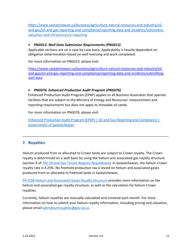[https://www.saskatchewan.ca/business/agriculture-natural-resources-and-industry/oil](https://www.saskatchewan.ca/business/agriculture-natural-resources-and-industry/oil-and-gas/oil-and-gas-reporting-and-compliance/reporting-data-and-incidents/volumetric-valuation-and-infrastructure-reporting)[and-gas/oil-and-gas-reporting-and-compliance/reporting-data-and-incidents/volumetric](https://www.saskatchewan.ca/business/agriculture-natural-resources-and-industry/oil-and-gas/oil-and-gas-reporting-and-compliance/reporting-data-and-incidents/volumetric-valuation-and-infrastructure-reporting)[valuation-and-infrastructure-reporting](https://www.saskatchewan.ca/business/agriculture-natural-resources-and-industry/oil-and-gas/oil-and-gas-reporting-and-compliance/reporting-data-and-incidents/volumetric-valuation-and-infrastructure-reporting)

## • *PNG013: Well Data Submission Requirements (PNG013)*

Applicable sections are on a case-by-case basis. Applicability is heavily dependent on obligation determination based on well licensing and work completed.

For more information on *PNG013*, please visit:

[https://www.saskatchewan.ca/business/agriculture-natural-resources-and-industry/oil](https://www.saskatchewan.ca/business/agriculture-natural-resources-and-industry/oil-and-gas/oil-and-gas-reporting-and-compliance/reporting-data-and-incidents/submitting-well-data)[and-gas/oil-and-gas-reporting-and-compliance/reporting-data-and-incidents/submitting](https://www.saskatchewan.ca/business/agriculture-natural-resources-and-industry/oil-and-gas/oil-and-gas-reporting-and-compliance/reporting-data-and-incidents/submitting-well-data)[well-data](https://www.saskatchewan.ca/business/agriculture-natural-resources-and-industry/oil-and-gas/oil-and-gas-reporting-and-compliance/reporting-data-and-incidents/submitting-well-data)

## • *PNG076: Enhanced Production Audit Program (PNG076)*

Enhanced Production Audit Program (EPAP) applies to all Business Associates that operate facilities that are subject to the Ministry of Energy and Resources' measurement and reporting requirements but does not apply to mineable oil sands.

For more information on *PNG076*, please visit:

[Enhanced Production Audit Program \(EPAP\) | Oil and Gas Reporting and Compliance |](https://www.saskatchewan.ca/business/agriculture-natural-resources-and-industry/oil-and-gas/oil-and-gas-reporting-and-compliance/enhanced-production-audit-program)  [Government of Saskatchewan](https://www.saskatchewan.ca/business/agriculture-natural-resources-and-industry/oil-and-gas/oil-and-gas-reporting-and-compliance/enhanced-production-audit-program)

\_\_\_\_\_\_\_\_\_\_\_\_\_\_\_\_\_\_\_\_\_\_\_\_\_\_\_\_\_\_\_\_\_\_\_\_\_\_\_\_\_\_\_\_\_\_\_\_\_\_\_\_\_\_\_\_\_\_\_\_\_\_\_\_\_\_\_\_\_\_\_\_\_\_\_\_\_\_

# <span id="page-10-0"></span>**7. Royalties**

Helium produced from or allocated to Crown lands are subject to Crown royalty. The Crown royalty is determined on a well basis by using the helium and associated gas royalty structure (section 9 of *[The Oil and Gas Tenure Registry Regulations\)](file:///C:/Users/molujide/Downloads/C50-2r31.pdf)*. In Saskatchewan, the helium Crown royalty rate is 4.25%. No freehold production tax is levied on helium and associated gases produced from or allocated to freehold lands in Saskatchewan.

[PR-IC08 Helium and Associated Gases Royalty Structure](https://publications.saskatchewan.ca/#/products/75628) provides more information on the helium and associated gas royalty structure, as well as the calculation for helium Crown royalties.

Currently, helium royalties are manually calculated and invoiced each month. For more information on how to submit your helium royalty information, including pricing and valuation, please emai[l petroleumroyalties@gov.sk.ca.](mailto:petroleumroyalties@gov.sk.ca)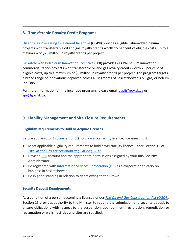# <span id="page-11-0"></span>**8. Transferable Royalty Credit Programs**

[Oil and Gas Processing Investment Incentive](https://www.saskatchewan.ca/business/agriculture-natural-resources-and-industry/oil-and-gas/oil-and-gas-incentives-crown-royalties-and-taxes/oil-and-gas-processing-investment-incentive) (OGPII) provides eligible value-added helium projects with transferrable oil and gas royalty credits worth 15 per cent of eligible costs, up to a maximum of \$75 million in royalty credits per project.

\_\_\_\_\_\_\_\_\_\_\_\_\_\_\_\_\_\_\_\_\_\_\_\_\_\_\_\_\_\_\_\_\_\_\_\_\_\_\_\_\_\_\_\_\_\_\_\_\_\_\_\_\_\_\_\_\_\_\_\_\_\_\_\_\_\_\_\_\_\_\_\_\_\_\_\_\_\_

[Saskatchewan Petroleum Innovation Incentive](https://www.saskatchewan.ca/business/agriculture-natural-resources-and-industry/oil-and-gas/oil-and-gas-incentives-crown-royalties-and-taxes/saskatchewan-petroleum-innovation-incentive) (SPII) provides eligible helium innovation commercialization projects with transferable oil and gas royalty credits worth 25 per cent of eligible costs, up to a maximum of \$5 million in royalty credits per project. The program targets a broad range of innovations deployed across all segments of Saskatchewan's oil, gas, or helium industry.

For more information on the incentive programs, please email [ogpii@gov.sk.ca](mailto:ogpii@gov.sk.ca) or [spii@gov.sk.ca.](mailto:spii@gov.sk.ca)

# <span id="page-11-1"></span>**9. Liability Management and Site Closure Requirements**

## <span id="page-11-2"></span>**Eligibility Requirements to Hold or Acquire Licences**

Before applying to (1) [transfer,](https://www.saskatchewan.ca/business/agriculture-natural-resources-and-industry/oil-and-gas/oil-and-gas-licensing-operations-and-requirements/transferring-well-and-facility-licences) or (2) hold a [well](https://www.saskatchewan.ca/business/agriculture-natural-resources-and-industry/oil-and-gas/oil-and-gas-licensing-operations-and-requirements/oil-and-gas-drilling-and-operations/licence-to-drill-a-well) or [facility](https://www.saskatchewan.ca/business/agriculture-natural-resources-and-industry/oil-and-gas/oil-and-gas-licensing-operations-and-requirements/licence-to-construct-and-operate-oil-and-gas-facilities) licence, licensees must:

• Meet applicable eligibility requirements to hold a well/facility licence under Section 12 of *[The Oil and Gas Conservation Regulations, 2012.](https://publications.saskatchewan.ca/api/v1/products/63704/formats/70932/download)* 

\_\_\_\_\_\_\_\_\_\_\_\_\_\_\_\_\_\_\_\_\_\_\_\_\_\_\_\_\_\_\_\_\_\_\_\_\_\_\_\_\_\_\_\_\_\_\_\_\_\_\_\_\_\_\_\_\_\_\_\_\_\_\_\_\_\_\_\_\_\_\_\_\_\_\_\_\_

- Have an [IRIS](https://www.saskatchewan.ca/business/agriculture-natural-resources-and-industry/oil-and-gas/oil-and-gas-licensing-operations-and-requirements/integrated-resource-information-system-iris) account and the appropriate permissions assigned by your IRIS Security Administrator.
- Be registered with [Information Services Corporation \(ISC\)](https://www.isc.ca/CorporateRegistry/Pages/default.aspx) as a corporation to carry on business in Saskatchewan.
- Be in good standing in relation to debts owing to the Crown.

## <span id="page-11-3"></span>**Security Deposit Requirements**

As a condition of a person becoming a licensee under *[The Oil and Gas Conservation Act \(OGCA\),](https://publications.saskatchewan.ca/api/v1/products/745/formats/1128/download)*  Section 15 provides authority to the Minister to require the submission of a security deposit to ensure obligations with respect to the suspension, abandonment, restoration, remediation or reclamation or wells, facilities and sites are satisfied.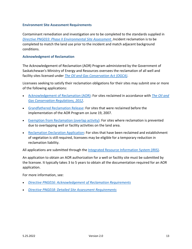#### <span id="page-12-0"></span>**Environment Site Assessment Requirements**

Contaminant remediation and investigation are to be completed to the standards supplied in *[Directive PNG033: Phase II Environmental Site Assessment .](file:///C:/Users/jfenn/Downloads/110611-Directive%252BPNG033-Phase%252BII%252BEnvironmental%252BSite%252BAssessment%252Bv.1%20(5).pdf)*Incident reclamation is to be completed to match the land use prior to the incident and match adjacent background conditions.

#### <span id="page-12-1"></span>**Acknowledgment of Reclamation**

The Acknowledgement of Reclamation (AOR) Program administered by the Government of Saskatchewan's Ministry of Energy and Resources oversees the reclamation of all well and facility sites licensed under *[The Oil and Gas Conservation Act \(OGCA\)](https://publications.saskatchewan.ca/api/v1/products/745/formats/1128/download)*.

Licensees seeking to satisfy their reclamation obligations for their sites may submit one or more of the following applications:

- [Acknowledgement of Reclamation \(AOR\):](https://www.saskatchewan.ca/business/agriculture-natural-resources-and-industry/oil-and-gas/liability-management/acknowledgement-of-reclamation/application-for-acknowledgement-of-reclamation) For sites reclaimed in accordance with *[The Oil and](https://publications.saskatchewan.ca/api/v1/products/63704/formats/70932/download)  [Gas Conservation Regulations, 2012](https://publications.saskatchewan.ca/api/v1/products/63704/formats/70932/download)*.
- [Grandfathered Reclamation Release:](https://www.saskatchewan.ca/business/agriculture-natural-resources-and-industry/oil-and-gas/liability-management/acknowledgement-of-reclamation/grandfathered-reclamation-release) For sites that were reclaimed before the implementation of the AOR Program on June 19, 2007.
- [Exemption from Reclamation \(overlap activity\):](https://www.saskatchewan.ca/business/agriculture-natural-resources-and-industry/oil-and-gas/liability-management/acknowledgement-of-reclamation/exemptions-from-reclamation-for-well-or-facility-sites-with-overlapping-activities) For sites where reclamation is prevented due to overlapping well or facility activities on the land area.
- [Reclamation Declaration Application:](https://www.saskatchewan.ca/business/agriculture-natural-resources-and-industry/oil-and-gas/liability-management/acknowledgement-of-reclamation/reclamation-declaration-application) For sites that have been reclaimed and establishment of vegetation is still required, licensees may be eligible for a temporary reduction in reclamation liability.

All applications are submitted through the [Integrated Resource Information System \(IRIS\).](https://www.saskatchewan.ca/business/agriculture-natural-resources-and-industry/oil-and-gas/oil-and-gas-licensing-operations-and-requirements/integrated-resource-information-system-iris)

An application to obtain an AOR authorization for a well or facility site must be submitted by the licensee. It typically takes 3 to 5 years to obtain all the documentation required for an AOR application.

For more information, see:

- *[Directive PNG016: Acknowledgement of Reclamation Requirements](https://publications.saskatchewan.ca/api/v1/products/76263/formats/86031/download)*
- *[Directive PNG018: Detailed Site Assessment Requirements](https://publications.saskatchewan.ca/api/v1/products/76265/formats/85486/download)*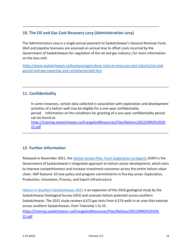# <span id="page-13-0"></span>**10. The Oil and Gas Cost Recovery Levy (Administration Levy)**

The Administration Levy is a single annual payment to Saskatchewan's General Revenue Fund. Well and pipeline licensees are assessed an annual levy to offset costs incurred by the Government of Saskatchewan for regulation of the oil and gas industry. For more information on the levy visit:

\_\_\_\_\_\_\_\_\_\_\_\_\_\_\_\_\_\_\_\_\_\_\_\_\_\_\_\_\_\_\_\_\_\_\_\_\_\_\_\_\_\_\_\_\_\_\_\_\_\_\_\_\_\_\_\_\_\_\_\_\_\_\_\_\_\_\_\_\_\_\_\_\_

[https://www.saskatchewan.ca/business/agriculture-natural-resources-and-industry/oil-and](https://www.saskatchewan.ca/business/agriculture-natural-resources-and-industry/oil-and-gas/oil-and-gas-reporting-and-compliance/well-levy)[gas/oil-and-gas-reporting-and-compliance/well-levy](https://www.saskatchewan.ca/business/agriculture-natural-resources-and-industry/oil-and-gas/oil-and-gas-reporting-and-compliance/well-levy)

\_\_\_\_\_\_\_\_\_\_\_\_\_\_\_\_\_\_\_\_\_\_\_\_\_\_\_\_\_\_\_\_\_\_\_\_\_\_\_\_\_\_\_\_\_\_\_\_\_\_\_\_\_\_\_\_\_\_\_\_\_\_\_\_\_\_\_\_\_\_\_\_\_\_\_\_\_\_

# **11. Confidentiality**

In some instances, certain data collected in association with exploration and development activities of a helium well may be eligible for a one-year confidentiality period. Information on the conditions for granting of a one-year confidentiality period can be found at: [https://training.saskatchewan.ca/EnergyAndResources/Files/Notices/2022/MRO%2039-](https://training.saskatchewan.ca/EnergyAndResources/Files/Notices/2022/MRO%2039-22.pdf) [22.pdf](https://training.saskatchewan.ca/EnergyAndResources/Files/Notices/2022/MRO%2039-22.pdf)

\_\_\_\_\_\_\_\_\_\_\_\_\_\_\_\_\_\_\_\_\_\_\_\_\_\_\_\_\_\_\_\_\_\_\_\_\_\_\_\_\_\_\_\_\_\_\_\_\_\_\_\_\_\_\_\_\_\_\_\_\_\_\_\_\_\_\_\_\_\_\_\_\_\_\_\_\_\_

# <span id="page-13-1"></span>**12. Further Information**

Released in November 2021, the [Helium Action Plan: From Exploration to Exports](https://www.saskatchewan.ca/business/agriculture-natural-resources-and-industry/helium/helium-action-plan) (HAP) is the Government of Saskatchewan's integrated approach to helium sector development, which aims to improve competitiveness and increase investment outcomes across the entire helium value chain. HAP features 10 new policy and program commitments in five key areas: Exploration, Production, Innovation, Process, and Export Infrastructure.

[Helium in Southern Saskatchewan 2021](https://publications.saskatchewan.ca/#/products/115248) is an expansion of the 2016 geological study by the Saskatchewan Geological Survey (SGS) and assesses helium potential across southern Saskatchewan. The 2021 study reviews 6,672 gas tests from 4,574 wells in an area that extends across southern Saskatchewan, from Township 1 to 25.

[https://training.saskatchewan.ca/EnergyAndResources/Files/Notices/2022/MRO%20104-](https://training.saskatchewan.ca/EnergyAndResources/Files/Notices/2022/MRO%20104-22.pdf) [22.pdf](https://training.saskatchewan.ca/EnergyAndResources/Files/Notices/2022/MRO%20104-22.pdf)